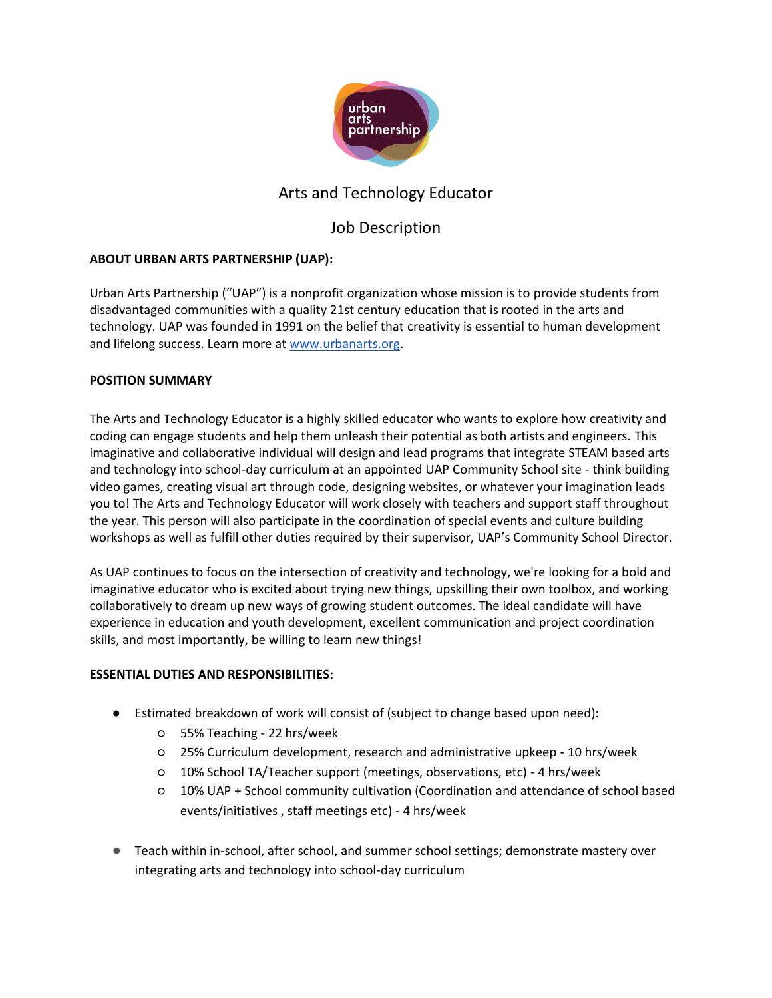

## Arts and Technology Educator

# Job Description

### **ABOUT URBAN ARTS PARTNERSHIP (UAP):**

Urban Arts Partnership ("UAP") is a nonprofit organization whose mission is to provide students from disadvantaged communities with a quality 21st century education that is rooted in the arts and technology. UAP was founded in 1991 on the belief that creativity is essential to human development and lifelong success. Learn more at [www.urbanarts.org.](http://www.urbanarts.org/)

### **POSITION SUMMARY**

The Arts and Technology Educator is a highly skilled educator who wants to explore how creativity and coding can engage students and help them unleash their potential as both artists and engineers. This imaginative and collaborative individual will design and lead programs that integrate STEAM based arts and technology into school-day curriculum at an appointed UAP Community School site - think building video games, creating visual art through code, designing websites, or whatever your imagination leads you to! The Arts and Technology Educator will work closely with teachers and support staff throughout the year. This person will also participate in the coordination of special events and culture building workshops as well as fulfill other duties required by their supervisor, UAP's Community School Director.

As UAP continues to focus on the intersection of creativity and technology, we're looking for a bold and imaginative educator who is excited about trying new things, upskilling their own toolbox, and working collaboratively to dream up new ways of growing student outcomes. The ideal candidate will have experience in education and youth development, excellent communication and project coordination skills, and most importantly, be willing to learn new things!

### **ESSENTIAL DUTIES AND RESPONSIBILITIES:**

- Estimated breakdown of work will consist of (subject to change based upon need):
	- 55% Teaching 22 hrs/week
	- 25% Curriculum development, research and administrative upkeep 10 hrs/week
	- 10% School TA/Teacher support (meetings, observations, etc) 4 hrs/week
	- 10% UAP + School community cultivation (Coordination and attendance of school based events/initiatives , staff meetings etc) - 4 hrs/week
- Teach within in-school, after school, and summer school settings; demonstrate mastery over integrating arts and technology into school-day curriculum